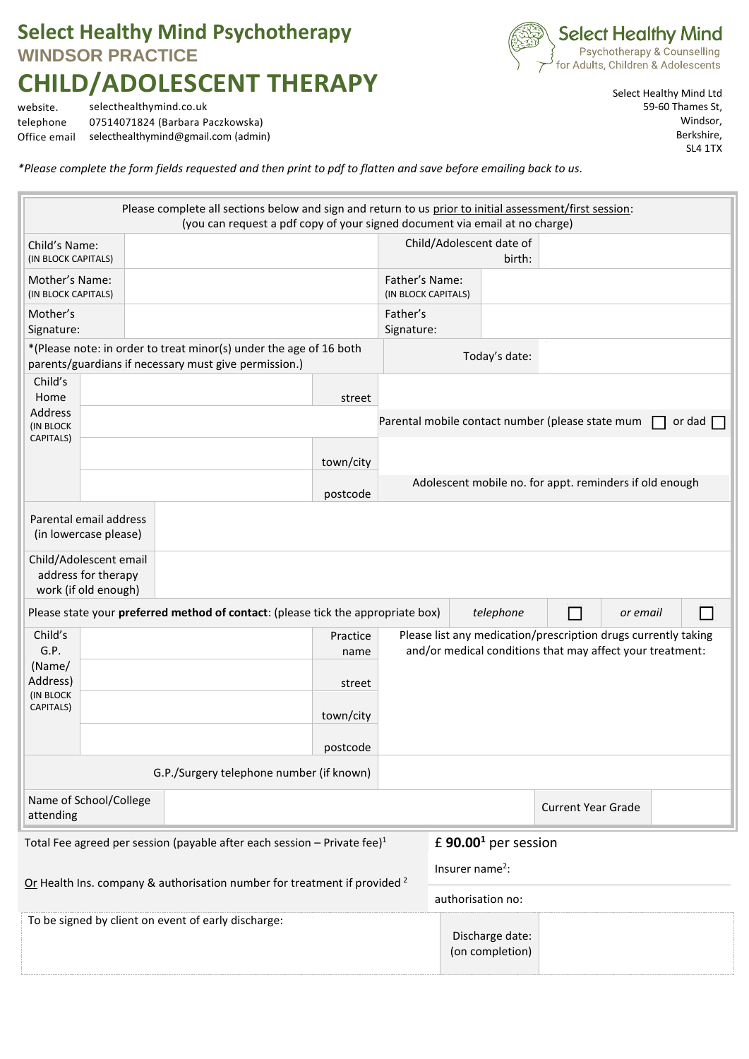## **Select Healthy Mind Psychotherapy WINDSOR PRACTICE CHILD/ADOLESCENT THERAPY**



website. selecthealthymind.co.uk telephone 07514071824 (Barbara Paczkowska) Office email selecthealthymind@gmail.com (admin) Select Healthy Mind Ltd 59-60 Thames St, Windsor, Berkshire, SL4 1TX

*\*Please complete the form fields requested and then print to pdf to flatten and save before emailing back to us.*

|                                                                                      |  |          | Please complete all sections below and sign and return to us prior to initial assessment/first session:<br>(you can request a pdf copy of your signed document via email at no charge) |           |                                                           |                             |                                    |                                                  |                                                                |               |
|--------------------------------------------------------------------------------------|--|----------|----------------------------------------------------------------------------------------------------------------------------------------------------------------------------------------|-----------|-----------------------------------------------------------|-----------------------------|------------------------------------|--------------------------------------------------|----------------------------------------------------------------|---------------|
| Child's Name:<br>(IN BLOCK CAPITALS)                                                 |  |          |                                                                                                                                                                                        |           |                                                           |                             | Child/Adolescent date of<br>birth: |                                                  |                                                                |               |
| Mother's Name:<br>(IN BLOCK CAPITALS)                                                |  |          |                                                                                                                                                                                        |           | Father's Name:<br>(IN BLOCK CAPITALS)                     |                             |                                    |                                                  |                                                                |               |
| Mother's<br>Signature:                                                               |  |          |                                                                                                                                                                                        |           | Father's<br>Signature:                                    |                             |                                    |                                                  |                                                                |               |
| *(Please note: in order to treat minor(s) under the age of 16 both                   |  |          |                                                                                                                                                                                        |           |                                                           |                             | Today's date:                      |                                                  |                                                                |               |
| parents/guardians if necessary must give permission.)                                |  |          |                                                                                                                                                                                        |           |                                                           |                             |                                    |                                                  |                                                                |               |
| Child's                                                                              |  |          |                                                                                                                                                                                        |           |                                                           |                             |                                    |                                                  |                                                                |               |
| Home<br><b>Address</b>                                                               |  |          |                                                                                                                                                                                        | street    |                                                           |                             |                                    |                                                  |                                                                |               |
| (IN BLOCK<br>CAPITALS)                                                               |  |          |                                                                                                                                                                                        |           |                                                           |                             |                                    | Parental mobile contact number (please state mum |                                                                | or dad $\Box$ |
|                                                                                      |  |          |                                                                                                                                                                                        | town/city |                                                           |                             |                                    |                                                  |                                                                |               |
|                                                                                      |  | postcode |                                                                                                                                                                                        |           | Adolescent mobile no. for appt. reminders if old enough   |                             |                                    |                                                  |                                                                |               |
| Parental email address<br>(in lowercase please)                                      |  |          |                                                                                                                                                                                        |           |                                                           |                             |                                    |                                                  |                                                                |               |
| Child/Adolescent email                                                               |  |          |                                                                                                                                                                                        |           |                                                           |                             |                                    |                                                  |                                                                |               |
| address for therapy<br>work (if old enough)                                          |  |          |                                                                                                                                                                                        |           |                                                           |                             |                                    |                                                  |                                                                |               |
| Please state your preferred method of contact: (please tick the appropriate box)     |  |          |                                                                                                                                                                                        |           |                                                           | telephone                   |                                    | or email                                         | $\blacksquare$                                                 |               |
| Child's                                                                              |  |          |                                                                                                                                                                                        | Practice  |                                                           |                             |                                    |                                                  | Please list any medication/prescription drugs currently taking |               |
| G.P.                                                                                 |  | name     |                                                                                                                                                                                        |           | and/or medical conditions that may affect your treatment: |                             |                                    |                                                  |                                                                |               |
| (Name/<br>Address)                                                                   |  | street   |                                                                                                                                                                                        |           |                                                           |                             |                                    |                                                  |                                                                |               |
| (IN BLOCK                                                                            |  |          |                                                                                                                                                                                        |           |                                                           |                             |                                    |                                                  |                                                                |               |
| CAPITALS)                                                                            |  |          |                                                                                                                                                                                        | town/city |                                                           |                             |                                    |                                                  |                                                                |               |
|                                                                                      |  |          |                                                                                                                                                                                        | postcode  |                                                           |                             |                                    |                                                  |                                                                |               |
| G.P./Surgery telephone number (if known)                                             |  |          |                                                                                                                                                                                        |           |                                                           |                             |                                    |                                                  |                                                                |               |
| Name of School/College                                                               |  |          |                                                                                                                                                                                        |           |                                                           |                             |                                    | <b>Current Year Grade</b>                        |                                                                |               |
| attending                                                                            |  |          |                                                                                                                                                                                        |           |                                                           |                             |                                    |                                                  |                                                                |               |
| Total Fee agreed per session (payable after each session - Private fee) $1$          |  |          |                                                                                                                                                                                        |           |                                                           |                             | £ 90.00 <sup>1</sup> per session   |                                                  |                                                                |               |
| Or Health Ins. company & authorisation number for treatment if provided <sup>2</sup> |  |          |                                                                                                                                                                                        |           |                                                           | Insurer name <sup>2</sup> : |                                    |                                                  |                                                                |               |
|                                                                                      |  |          |                                                                                                                                                                                        |           |                                                           | authorisation no:           |                                    |                                                  |                                                                |               |
| To be signed by client on event of early discharge:                                  |  |          |                                                                                                                                                                                        |           |                                                           |                             |                                    |                                                  |                                                                |               |
|                                                                                      |  |          |                                                                                                                                                                                        |           |                                                           |                             | Discharge date:<br>(on completion) |                                                  |                                                                |               |